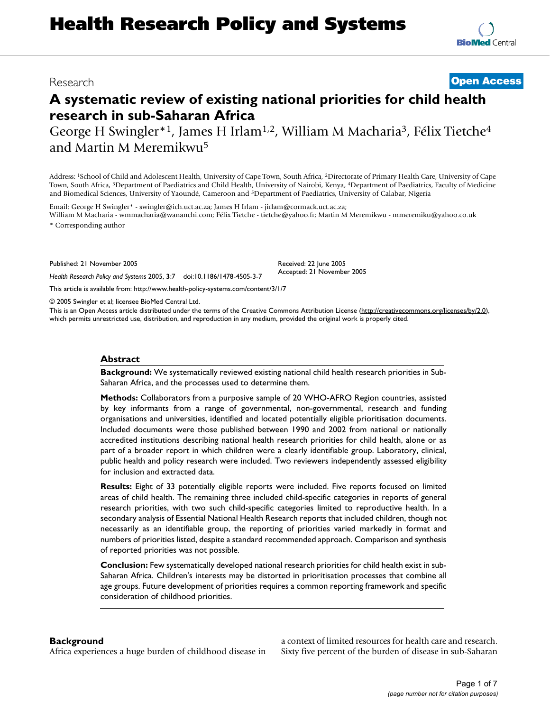# Research **[Open Access](http://www.biomedcentral.com/info/about/charter/)**

# **A systematic review of existing national priorities for child health research in sub-Saharan Africa**

George H Swingler\*1, James H Irlam1,2, William M Macharia3, Félix Tietche4 and Martin M Meremikwu5

Address: 1School of Child and Adolescent Health, University of Cape Town, South Africa, 2Directorate of Primary Health Care, University of Cape Town, South Africa, 3Department of Paediatrics and Child Health, University of Nairobi, Kenya, 4Department of Paediatrics, Faculty of Medicine and Biomedical Sciences, University of Yaoundé, Cameroon and 5Department of Paediatrics, University of Calabar, Nigeria

Email: George H Swingler\* - swingler@ich.uct.ac.za; James H Irlam - jirlam@cormack.uct.ac.za; William M Macharia - wmmacharia@wananchi.com; Félix Tietche - tietche@yahoo.fr; Martin M Meremikwu - mmeremiku@yahoo.co.uk

\* Corresponding author

Published: 21 November 2005

*Health Research Policy and Systems* 2005, **3**:7 doi:10.1186/1478-4505-3-7 Received: 22 June 2005 Accepted: 21 November 2005

[This article is available from: http://www.health-policy-systems.com/content/3/1/7](http://www.health-policy-systems.com/content/3/1/7)

© 2005 Swingler et al; licensee BioMed Central Ltd.

This is an Open Access article distributed under the terms of the Creative Commons Attribution License [\(http://creativecommons.org/licenses/by/2.0\)](http://creativecommons.org/licenses/by/2.0), which permits unrestricted use, distribution, and reproduction in any medium, provided the original work is properly cited.

### **Abstract**

**Background:** We systematically reviewed existing national child health research priorities in Sub-Saharan Africa, and the processes used to determine them.

**Methods:** Collaborators from a purposive sample of 20 WHO-AFRO Region countries, assisted by key informants from a range of governmental, non-governmental, research and funding organisations and universities, identified and located potentially eligible prioritisation documents. Included documents were those published between 1990 and 2002 from national or nationally accredited institutions describing national health research priorities for child health, alone or as part of a broader report in which children were a clearly identifiable group. Laboratory, clinical, public health and policy research were included. Two reviewers independently assessed eligibility for inclusion and extracted data.

**Results:** Eight of 33 potentially eligible reports were included. Five reports focused on limited areas of child health. The remaining three included child-specific categories in reports of general research priorities, with two such child-specific categories limited to reproductive health. In a secondary analysis of Essential National Health Research reports that included children, though not necessarily as an identifiable group, the reporting of priorities varied markedly in format and numbers of priorities listed, despite a standard recommended approach. Comparison and synthesis of reported priorities was not possible.

**Conclusion:** Few systematically developed national research priorities for child health exist in sub-Saharan Africa. Children's interests may be distorted in prioritisation processes that combine all age groups. Future development of priorities requires a common reporting framework and specific consideration of childhood priorities.

### **Background**

Africa experiences a huge burden of childhood disease in

a context of limited resources for health care and research. Sixty five percent of the burden of disease in sub-Saharan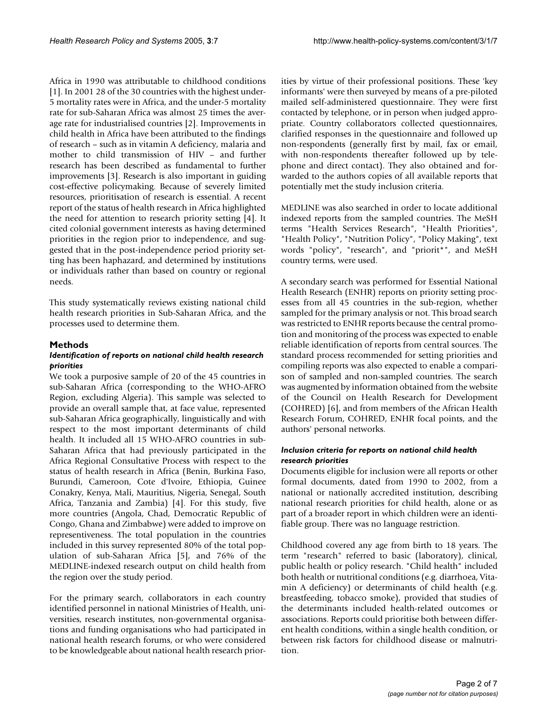Africa in 1990 was attributable to childhood conditions [1]. In 2001 28 of the 30 countries with the highest under-5 mortality rates were in Africa, and the under-5 mortality rate for sub-Saharan Africa was almost 25 times the average rate for industrialised countries [2]. Improvements in child health in Africa have been attributed to the findings of research – such as in vitamin A deficiency, malaria and mother to child transmission of HIV – and further research has been described as fundamental to further improvements [3]. Research is also important in guiding cost-effective policymaking. Because of severely limited resources, prioritisation of research is essential. A recent report of the status of health research in Africa highlighted the need for attention to research priority setting [4]. It cited colonial government interests as having determined priorities in the region prior to independence, and suggested that in the post-independence period priority setting has been haphazard, and determined by institutions or individuals rather than based on country or regional needs.

This study systematically reviews existing national child health research priorities in Sub-Saharan Africa, and the processes used to determine them.

# **Methods**

### *Identification of reports on national child health research priorities*

We took a purposive sample of 20 of the 45 countries in sub-Saharan Africa (corresponding to the WHO-AFRO Region, excluding Algeria). This sample was selected to provide an overall sample that, at face value, represented sub-Saharan Africa geographically, linguistically and with respect to the most important determinants of child health. It included all 15 WHO-AFRO countries in sub-Saharan Africa that had previously participated in the Africa Regional Consultative Process with respect to the status of health research in Africa (Benin, Burkina Faso, Burundi, Cameroon, Cote d'Ivoire, Ethiopia, Guinee Conakry, Kenya, Mali, Mauritius, Nigeria, Senegal, South Africa, Tanzania and Zambia) [4]. For this study, five more countries (Angola, Chad, Democratic Republic of Congo, Ghana and Zimbabwe) were added to improve on representiveness. The total population in the countries included in this survey represented 80% of the total population of sub-Saharan Africa [5], and 76% of the MEDLINE-indexed research output on child health from the region over the study period.

For the primary search, collaborators in each country identified personnel in national Ministries of Health, universities, research institutes, non-governmental organisations and funding organisations who had participated in national health research forums, or who were considered to be knowledgeable about national health research priorities by virtue of their professional positions. These 'key informants' were then surveyed by means of a pre-piloted mailed self-administered questionnaire. They were first contacted by telephone, or in person when judged appropriate. Country collaborators collected questionnaires, clarified responses in the questionnaire and followed up non-respondents (generally first by mail, fax or email, with non-respondents thereafter followed up by telephone and direct contact). They also obtained and forwarded to the authors copies of all available reports that potentially met the study inclusion criteria.

MEDLINE was also searched in order to locate additional indexed reports from the sampled countries. The MeSH terms "Health Services Research", "Health Priorities", "Health Policy", "Nutrition Policy", "Policy Making", text words "policy", "research", and "priorit\*", and MeSH country terms, were used.

A secondary search was performed for Essential National Health Research (ENHR) reports on priority setting processes from all 45 countries in the sub-region, whether sampled for the primary analysis or not. This broad search was restricted to ENHR reports because the central promotion and monitoring of the process was expected to enable reliable identification of reports from central sources. The standard process recommended for setting priorities and compiling reports was also expected to enable a comparison of sampled and non-sampled countries. The search was augmented by information obtained from the website of the Council on Health Research for Development (COHRED) [6], and from members of the African Health Research Forum, COHRED, ENHR focal points, and the authors' personal networks.

# *Inclusion criteria for reports on national child health research priorities*

Documents eligible for inclusion were all reports or other formal documents, dated from 1990 to 2002, from a national or nationally accredited institution, describing national research priorities for child health, alone or as part of a broader report in which children were an identifiable group. There was no language restriction.

Childhood covered any age from birth to 18 years. The term "research" referred to basic (laboratory), clinical, public health or policy research. "Child health" included both health or nutritional conditions (e.g. diarrhoea, Vitamin A deficiency) or determinants of child health (e.g. breastfeeding, tobacco smoke), provided that studies of the determinants included health-related outcomes or associations. Reports could prioritise both between different health conditions, within a single health condition, or between risk factors for childhood disease or malnutrition.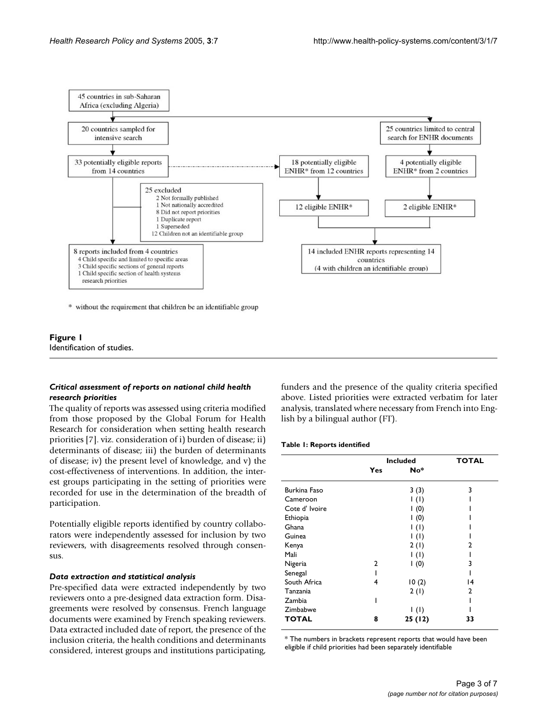





### *Critical assessment of reports on national child health research priorities*

The quality of reports was assessed using criteria modified from those proposed by the Global Forum for Health Research for consideration when setting health research priorities [7]. viz. consideration of i) burden of disease; ii) determinants of disease; iii) the burden of determinants of disease; iv) the present level of knowledge, and v) the cost-effectiveness of interventions. In addition, the interest groups participating in the setting of priorities were recorded for use in the determination of the breadth of participation.

Potentially eligible reports identified by country collaborators were independently assessed for inclusion by two reviewers, with disagreements resolved through consensus.

### *Data extraction and statistical analysis*

Pre-specified data were extracted independently by two reviewers onto a pre-designed data extraction form. Disagreements were resolved by consensus. French language documents were examined by French speaking reviewers. Data extracted included date of report, the presence of the inclusion criteria, the health conditions and determinants considered, interest groups and institutions participating,

funders and the presence of the quality criteria specified above. Listed priorities were extracted verbatim for later analysis, translated where necessary from French into English by a bilingual author (FT).

#### **Table 1: Reports identified**

|               | <b>Included</b> |             | <b>TOTAL</b> |
|---------------|-----------------|-------------|--------------|
|               | Yes             | No*         |              |
| Burkina Faso  |                 | 3(3)        | 3            |
| Cameroon      |                 | $\vert$ (l) |              |
| Cote d'Ivoire |                 | $\vert$ (0) |              |
| Ethiopia      |                 | $\vert$ (0) |              |
| Ghana         |                 | $\vert$ (l) |              |
| Guinea        |                 | $\vert$ (l) |              |
| Kenya         |                 | 2(1)        | 2            |
| Mali          |                 | $\vert$ (l) |              |
| Nigeria       | 2               | 1(0)        | 3            |
| Senegal       |                 |             |              |
| South Africa  | 4               | 10(2)       | 14           |
| Tanzania      |                 | 2(1)        | 2            |
| Zambia        | I               |             |              |
| Zimbabwe      |                 | $\vert$ (l) |              |
| TOTAL         | 8               | 25 (12)     | 33           |

\* The numbers in brackets represent reports that would have been eligible if child priorities had been separately identifiable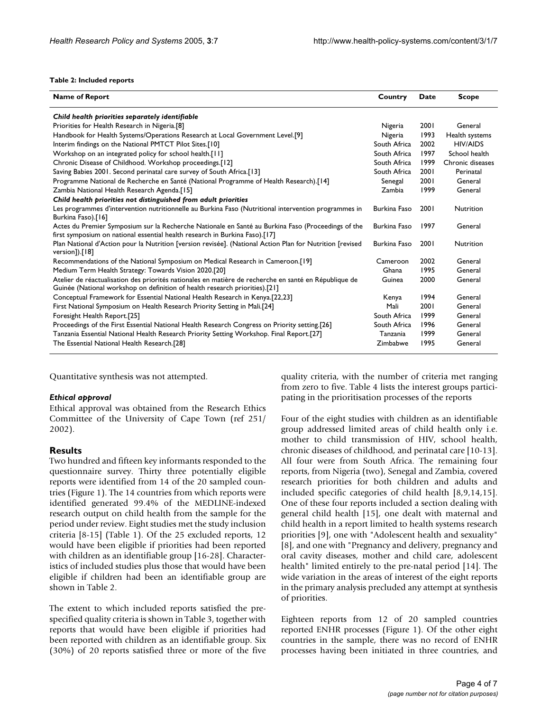### **Table 2: Included reports**

| <b>Name of Report</b>                                                                                                                                                                | Country      | Date | <b>Scope</b>     |
|--------------------------------------------------------------------------------------------------------------------------------------------------------------------------------------|--------------|------|------------------|
| Child health priorities separately identifiable                                                                                                                                      |              |      |                  |
| Priorities for Health Research in Nigeria.[8]                                                                                                                                        | Nigeria      | 2001 | General          |
| Handbook for Health Systems/Operations Research at Local Government Level.[9]                                                                                                        | Nigeria      | 1993 | Health systems   |
| Interim findings on the National PMTCT Pilot Sites.[10]                                                                                                                              | South Africa | 2002 | <b>HIV/AIDS</b>  |
| Workshop on an integrated policy for school health.[11]                                                                                                                              | South Africa | 1997 | School health    |
| Chronic Disease of Childhood. Workshop proceedings.[12]                                                                                                                              | South Africa | 1999 | Chronic diseases |
| Saving Babies 2001. Second perinatal care survey of South Africa.[13]                                                                                                                | South Africa | 2001 | Perinatal        |
| Programme National de Recherche en Santé (National Programme of Health Research).[14]                                                                                                | Senegal      | 2001 | General          |
| Zambia National Health Research Agenda.[15]                                                                                                                                          | Zambia       | 1999 | General          |
| Child health priorities not distinguished from adult priorities                                                                                                                      |              |      |                  |
| Les programmes d'intervention nutritionnelle au Burkina Faso (Nutritional intervention programmes in                                                                                 | Burkina Faso | 2001 | Nutrition        |
| Burkina Faso).[16]                                                                                                                                                                   |              |      |                  |
| Actes du Premier Symposium sur la Recherche Nationale en Santé au Burkina Faso (Proceedings of the<br>first symposium on national essential health research in Burkina Faso).[17]    | Burkina Faso | 1997 | General          |
| Plan National d'Action pour la Nutrition [version revisée]. (National Action Plan for Nutrition [revised<br>version]).[18]                                                           | Burkina Faso | 2001 | <b>Nutrition</b> |
| Recommendations of the National Symposium on Medical Research in Cameroon.[19]                                                                                                       | Cameroon     | 2002 | General          |
| Medium Term Health Strategy: Towards Vision 2020.[20]                                                                                                                                | Ghana        | 1995 | General          |
| Atelier de réactualisation des priorités nationales en matière de recherche en santé en République de<br>Guinée (National workshop on definition of health research priorities).[21] | Guinea       | 2000 | General          |
| Conceptual Framework for Essential National Health Research in Kenya.[22,23]                                                                                                         | Kenya        | 1994 | General          |
| First National Symposium on Health Research Priority Setting in Mali.[24]                                                                                                            | Mali         | 2001 | General          |
| Foresight Health Report.[25]                                                                                                                                                         | South Africa | 1999 | General          |
| Proceedings of the First Essential National Health Research Congress on Priority setting.[26]                                                                                        | South Africa | 1996 | General          |
| Tanzania Essential National Health Research Priority Setting Workshop. Final Report.[27]                                                                                             | Tanzania     | 1999 | General          |
| The Essential National Health Research.[28]                                                                                                                                          | Zimbabwe     | 1995 | General          |

Quantitative synthesis was not attempted.

### *Ethical approval*

Ethical approval was obtained from the Research Ethics Committee of the University of Cape Town (ref 251/ 2002).

# **Results**

Two hundred and fifteen key informants responded to the questionnaire survey. Thirty three potentially eligible reports were identified from 14 of the 20 sampled countries (Figure 1). The 14 countries from which reports were identified generated 99.4% of the MEDLINE-indexed research output on child health from the sample for the period under review. Eight studies met the study inclusion criteria [8-15] (Table 1). Of the 25 excluded reports, 12 would have been eligible if priorities had been reported with children as an identifiable group [16-28]. Characteristics of included studies plus those that would have been eligible if children had been an identifiable group are shown in Table 2.

The extent to which included reports satisfied the prespecified quality criteria is shown in Table 3, together with reports that would have been eligible if priorities had been reported with children as an identifiable group. Six (30%) of 20 reports satisfied three or more of the five quality criteria, with the number of criteria met ranging from zero to five. Table 4 lists the interest groups participating in the prioritisation processes of the reports

Four of the eight studies with children as an identifiable group addressed limited areas of child health only i.e. mother to child transmission of HIV, school health, chronic diseases of childhood, and perinatal care [10-13]. All four were from South Africa. The remaining four reports, from Nigeria (two), Senegal and Zambia, covered research priorities for both children and adults and included specific categories of child health [8,9,14,15]. One of these four reports included a section dealing with general child health [15], one dealt with maternal and child health in a report limited to health systems research priorities [9], one with "Adolescent health and sexuality" [8], and one with "Pregnancy and delivery, pregnancy and oral cavity diseases, mother and child care, adolescent health" limited entirely to the pre-natal period [14]. The wide variation in the areas of interest of the eight reports in the primary analysis precluded any attempt at synthesis of priorities.

Eighteen reports from 12 of 20 sampled countries reported ENHR processes (Figure 1). Of the other eight countries in the sample, there was no record of ENHR processes having been initiated in three countries, and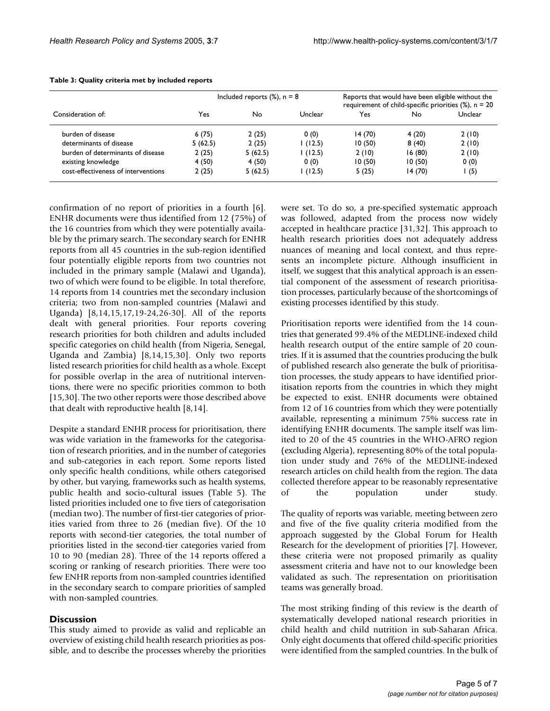|                                     |         | Included reports $(\%)$ , n = 8 |          |         |         | Reports that would have been eligible without the<br>requirement of child-specific priorities $(\%)$ , n = 20 |
|-------------------------------------|---------|---------------------------------|----------|---------|---------|---------------------------------------------------------------------------------------------------------------|
| Consideration of:                   | Yes     | No                              | Unclear  | Yes     | No      | Unclear                                                                                                       |
| burden of disease                   | 6(75)   | 2(25)                           | 0(0)     | 14 (70) | 4(20)   | 2(10)                                                                                                         |
| determinants of disease             | 5(62.5) | 2(25)                           | I (12.5) | 10(50)  | 8(40)   | 2(10)                                                                                                         |
| burden of determinants of disease   | 2(25)   | 5(62.5)                         | (12.5)   | 2(10)   | 16(80)  | 2(10)                                                                                                         |
| existing knowledge                  | 4(50)   | 4(50)                           | 0(0)     | 10(50)  | 10(50)  | 0(0)                                                                                                          |
| cost-effectiveness of interventions | 2(25)   | 5(62.5)                         | I (12.5) | 5(25)   | 14 (70) | 1(5)                                                                                                          |

#### **Table 3: Quality criteria met by included reports**

confirmation of no report of priorities in a fourth [6]. ENHR documents were thus identified from 12 (75%) of the 16 countries from which they were potentially available by the primary search. The secondary search for ENHR reports from all 45 countries in the sub-region identified four potentially eligible reports from two countries not included in the primary sample (Malawi and Uganda), two of which were found to be eligible. In total therefore, 14 reports from 14 countries met the secondary inclusion criteria; two from non-sampled countries (Malawi and Uganda) [8,14,15,17,19-24,26-30]. All of the reports dealt with general priorities. Four reports covering research priorities for both children and adults included specific categories on child health (from Nigeria, Senegal, Uganda and Zambia) [8,14,15,30]. Only two reports listed research priorities for child health as a whole. Except for possible overlap in the area of nutritional interventions, there were no specific priorities common to both [15,30]. The two other reports were those described above that dealt with reproductive health [8,14].

Despite a standard ENHR process for prioritisation, there was wide variation in the frameworks for the categorisation of research priorities, and in the number of categories and sub-categories in each report. Some reports listed only specific health conditions, while others categorised by other, but varying, frameworks such as health systems, public health and socio-cultural issues (Table 5). The listed priorities included one to five tiers of categorisation (median two). The number of first-tier categories of priorities varied from three to 26 (median five). Of the 10 reports with second-tier categories, the total number of priorities listed in the second-tier categories varied from 10 to 90 (median 28). Three of the 14 reports offered a scoring or ranking of research priorities. There were too few ENHR reports from non-sampled countries identified in the secondary search to compare priorities of sampled with non-sampled countries.

### **Discussion**

This study aimed to provide as valid and replicable an overview of existing child health research priorities as possible, and to describe the processes whereby the priorities were set. To do so, a pre-specified systematic approach was followed, adapted from the process now widely accepted in healthcare practice [31,32]. This approach to health research priorities does not adequately address nuances of meaning and local context, and thus represents an incomplete picture. Although insufficient in itself, we suggest that this analytical approach is an essential component of the assessment of research prioritisation processes, particularly because of the shortcomings of existing processes identified by this study.

Prioritisation reports were identified from the 14 countries that generated 99.4% of the MEDLINE-indexed child health research output of the entire sample of 20 countries. If it is assumed that the countries producing the bulk of published research also generate the bulk of prioritisation processes, the study appears to have identified prioritisation reports from the countries in which they might be expected to exist. ENHR documents were obtained from 12 of 16 countries from which they were potentially available, representing a minimum 75% success rate in identifying ENHR documents. The sample itself was limited to 20 of the 45 countries in the WHO-AFRO region (excluding Algeria), representing 80% of the total population under study and 76% of the MEDLINE-indexed research articles on child health from the region. The data collected therefore appear to be reasonably representative of the population under study.

The quality of reports was variable, meeting between zero and five of the five quality criteria modified from the approach suggested by the Global Forum for Health Research for the development of priorities [7]. However, these criteria were not proposed primarily as quality assessment criteria and have not to our knowledge been validated as such. The representation on prioritisation teams was generally broad.

The most striking finding of this review is the dearth of systematically developed national research priorities in child health and child nutrition in sub-Saharan Africa. Only eight documents that offered child-specific priorities were identified from the sampled countries. In the bulk of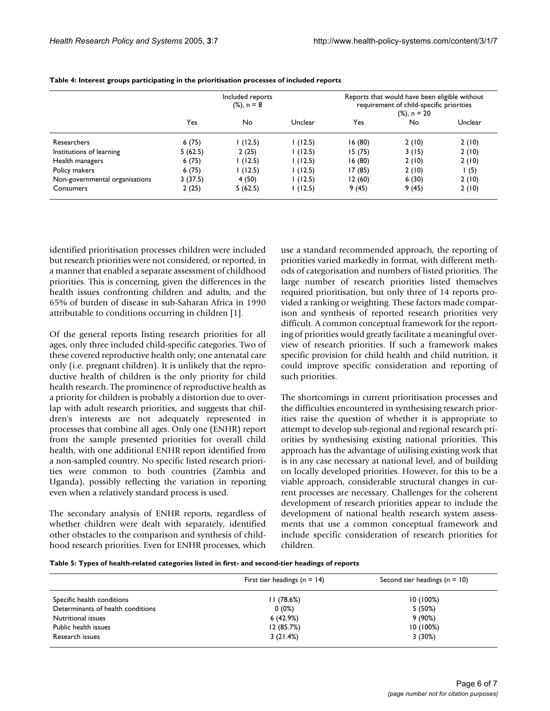|                                | Included reports<br>$(\%)$ , n = 8 |         |         | Reports that would have been eligible without<br>requirement of child-specific priorities<br>$(\%)$ , n = 20 |       |         |
|--------------------------------|------------------------------------|---------|---------|--------------------------------------------------------------------------------------------------------------|-------|---------|
|                                | Yes                                | No      | Unclear | Yes                                                                                                          | No    | Unclear |
| <b>Researchers</b>             | 6(75)                              | (12.5)  | 1(12.5) | 16(80)                                                                                                       | 2(10) | 2(10)   |
| Institutions of learning       | 5(62.5)                            | 2(25)   | (12.5)  | 15(75)                                                                                                       | 3(15) | 2(10)   |
| Health managers                | 6(75)                              | 1(12.5) | (12.5)  | 16(80)                                                                                                       | 2(10) | 2(10)   |
| Policy makers                  | 6(75)                              | (12.5)  | (12.5)  | 17 (85)                                                                                                      | 2(10) | (5)     |
| Non-governmental organisations | 3(37.5)                            | 4 (50)  | (12.5)  | 12(60)                                                                                                       | 6(30) | 2(10)   |
| Consumers                      | 2(25)                              | 5(62.5) | 1(12.5) | 9(45)                                                                                                        | 9(45) | 2(10)   |

#### **Table 4: Interest groups participating in the prioritisation processes of included reports**

identified prioritisation processes children were included but research priorities were not considered, or reported, in a manner that enabled a separate assessment of childhood priorities. This is concerning, given the differences in the health issues confronting children and adults, and the 65% of burden of disease in sub-Saharan Africa in 1990 attributable to conditions occurring in children [1].

Of the general reports listing research priorities for all ages, only three included child-specific categories. Two of these covered reproductive health only; one antenatal care only (i.e. pregnant children). It is unlikely that the reproductive health of children is the only priority for child health research. The prominence of reproductive health as a priority for children is probably a distortion due to overlap with adult research priorities, and suggests that children's interests are not adequately represented in processes that combine all ages. Only one (ENHR) report from the sample presented priorities for overall child health, with one additional ENHR report identified from a non-sampled country. No specific listed research priorities were common to both countries (Zambia and Uganda), possibly reflecting the variation in reporting even when a relatively standard process is used.

The secondary analysis of ENHR reports, regardless of whether children were dealt with separately, identified other obstacles to the comparison and synthesis of childhood research priorities. Even for ENHR processes, which use a standard recommended approach, the reporting of priorities varied markedly in format, with different methods of categorisation and numbers of listed priorities. The large number of research priorities listed themselves required prioritisation, but only three of 14 reports provided a ranking or weighting. These factors made comparison and synthesis of reported research priorities very difficult. A common conceptual framework for the reporting of priorities would greatly facilitate a meaningful overview of research priorities. If such a framework makes specific provision for child health and child nutrition, it could improve specific consideration and reporting of such priorities.

The shortcomings in current prioritisation processes and the difficulties encountered in synthesising research priorities raise the question of whether it is appropriate to attempt to develop sub-regional and regional research priorities by synthesising existing national priorities. This approach has the advantage of utilising existing work that is in any case necessary at national level, and of building on locally developed priorities. However, for this to be a viable approach, considerable structural changes in current processes are necessary. Challenges for the coherent development of research priorities appear to include the development of national health research system assessments that use a common conceptual framework and include specific consideration of research priorities for children.

|  |  | Table 5: Types of health-related categories listed in first- and second-tier headings of reports |
|--|--|--------------------------------------------------------------------------------------------------|
|--|--|--------------------------------------------------------------------------------------------------|

|                                   | First tier headings $(n = 14)$ | Second tier headings $(n = 10)$ |  |
|-----------------------------------|--------------------------------|---------------------------------|--|
| Specific health conditions        | 11(78.6%)                      | $10(100\%)$                     |  |
| Determinants of health conditions | $0(0\%)$                       | 5 (50%)                         |  |
| <b>Nutritional issues</b>         | 6(42.9%)                       | 9(90%)                          |  |
| Public health issues              | 12(85.7%)                      | 10(100%)                        |  |
| Research issues                   | 3(21.4%)                       | $3(30\%)$                       |  |